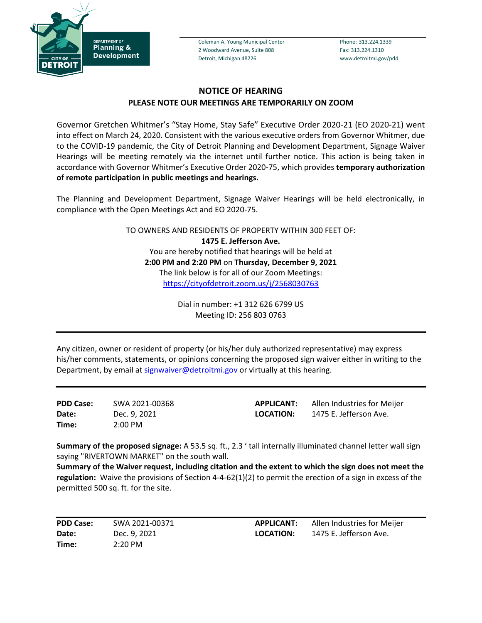

Coleman A. Young Municipal Center Phone: 313.224.1339 2 Woodward Avenue, Suite 808 Fax: 313.224.1310 Detroit, Michigan 48226 www.detroitmi.gov/pdd

## **NOTICE OF HEARING PLEASE NOTE OUR MEETINGS ARE TEMPORARILY ON ZOOM**

Governor Gretchen Whitmer's "Stay Home, Stay Safe" Executive Order 2020-21 (EO 2020-21) went into effect on March 24, 2020. Consistent with the various executive orders from Governor Whitmer, due to the COVID-19 pandemic, the City of Detroit Planning and Development Department, Signage Waiver Hearings will be meeting remotely via the internet until further notice. This action is being taken in accordance with Governor Whitmer's Executive Order 2020-75, which provides **temporary authorization of remote participation in public meetings and hearings.**

The Planning and Development Department, Signage Waiver Hearings will be held electronically, in compliance with the Open Meetings Act and EO 2020-75.

> TO OWNERS AND RESIDENTS OF PROPERTY WITHIN 300 FEET OF: **1475 E. Jefferson Ave.** You are hereby notified that hearings will be held at **2:00 PM and 2:20 PM** on **Thursday, December 9, 2021** The link below is for all of our Zoom Meetings: <https://cityofdetroit.zoom.us/j/2568030763>

> > Dial in number: +1 312 626 6799 US Meeting ID: 256 803 0763

Any citizen, owner or resident of property (or his/her duly authorized representative) may express his/her comments, statements, or opinions concerning the proposed sign waiver either in writing to the Department, by email at [signwaiver@detroitmi.gov](mailto:signwaiver@detroitmi.gov) or virtually at this hearing.

**PDD Case:** SWA 2021-00368 **Date:** Dec. 9, 2021 **Time:** 2:00 PM

**APPLICANT:** Allen Industries for Meijer **LOCATION:** 1475 E. Jefferson Ave.

**Summary of the proposed signage:** A 53.5 sq. ft., 2.3 ' tall internally illuminated channel letter wall sign saying "RIVERTOWN MARKET" on the south wall.

**Summary of the Waiver request, including citation and the extent to which the sign does not meet the regulation:** Waive the provisions of Section 4-4-62(1)(2) to permit the erection of a sign in excess of the permitted 500 sq. ft. for the site.

**PDD Case:** SWA 2021-00371 **Date:** Dec. 9, 2021 **Time:** 2:20 PM

**APPLICANT:** Allen Industries for Meijer **LOCATION:** 1475 E. Jefferson Ave.